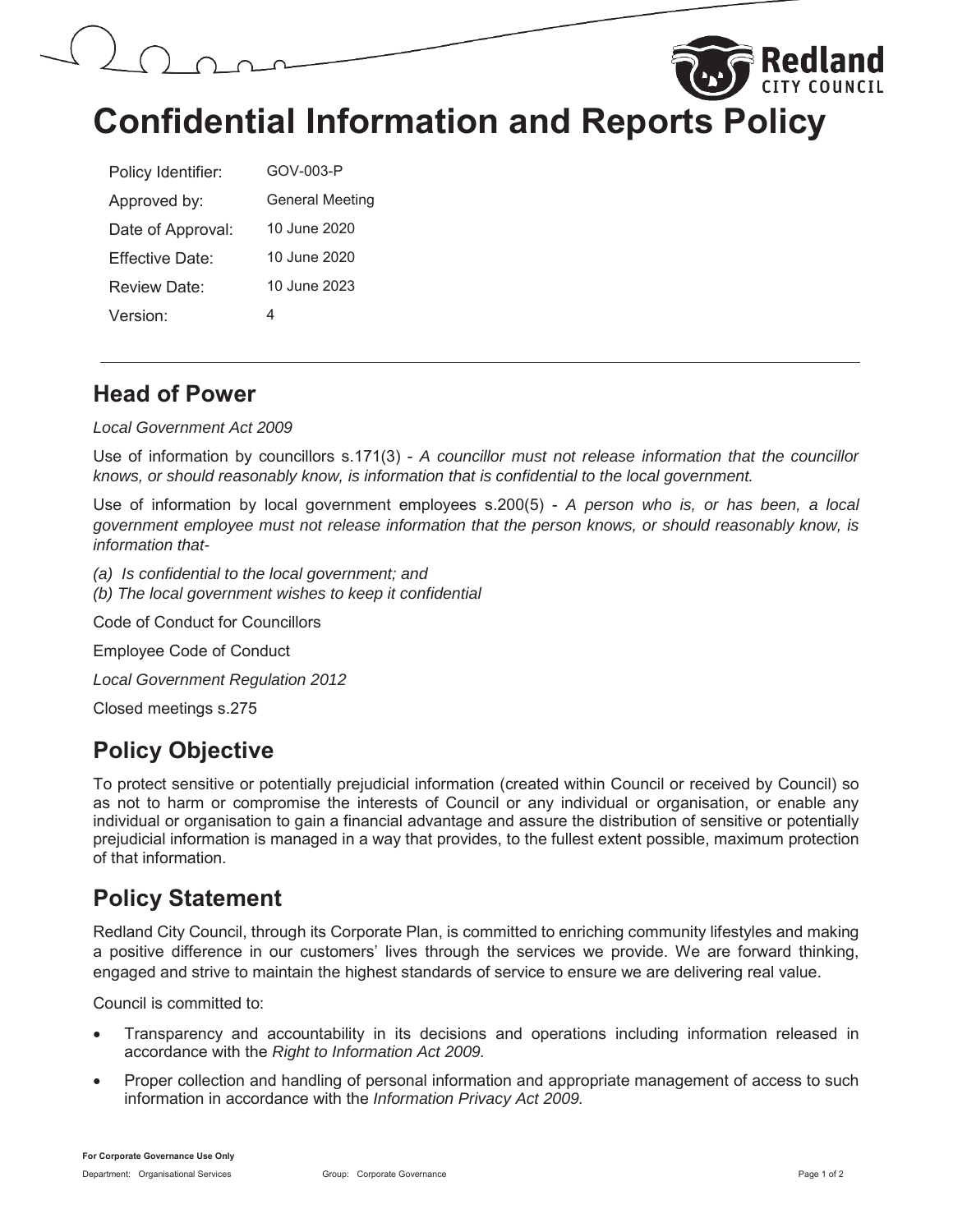



# **Confidential Information and Reports Policy**

| Policy Identifier:     | GOV-003-P              |  |
|------------------------|------------------------|--|
| Approved by:           | <b>General Meeting</b> |  |
| Date of Approval:      | 10 June 2020           |  |
| <b>Fffective Date:</b> | 10 June 2020           |  |
| Review Date:           | 10 June 2023           |  |
| Version <sup>.</sup>   | 4                      |  |

#### **Head of Power**

*Local Government Act 2009*

Use of information by councillors s.171(3) - *A councillor must not release information that the councillor knows, or should reasonably know, is information that is confidential to the local government.*

Use of information by local government employees s.200(5) - *A person who is, or has been, a local government employee must not release information that the person knows, or should reasonably know, is information that-*

- *(a) Is confidential to the local government; and*
- *(b) The local government wishes to keep it confidential*

Code of Conduct for Councillors

Employee Code of Conduct

*Local Government Regulation 2012*

Closed meetings s.275

## **Policy Objective**

To protect sensitive or potentially prejudicial information (created within Council or received by Council) so as not to harm or compromise the interests of Council or any individual or organisation, or enable any individual or organisation to gain a financial advantage and assure the distribution of sensitive or potentially prejudicial information is managed in a way that provides, to the fullest extent possible, maximum protection of that information.

### **Policy Statement**

Redland City Council, through its Corporate Plan, is committed to enriching community lifestyles and making a positive difference in our customers' lives through the services we provide. We are forward thinking, engaged and strive to maintain the highest standards of service to ensure we are delivering real value.

Council is committed to:

- x Transparency and accountability in its decisions and operations including information released in accordance with the *Right to Information Act 2009.*
- Proper collection and handling of personal information and appropriate management of access to such information in accordance with the *Information Privacy Act 2009.*